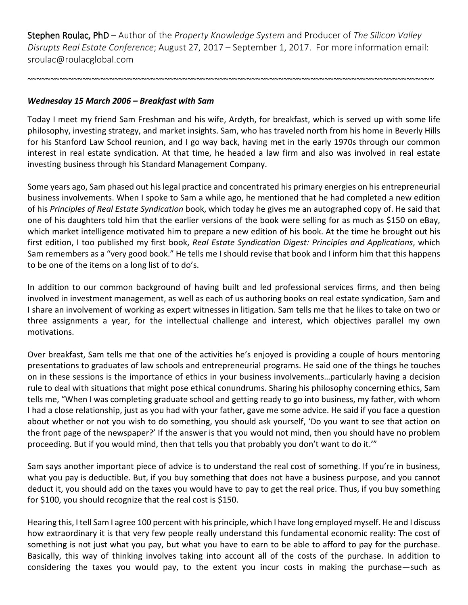Stephen Roulac, PhD – Author of the *Property Knowledge System* and Producer of *The Silicon Valley Disrupts Real Estate Conference*; August 27, 2017 – September 1, 2017. For more information email: sroulac@roulacglobal.com

~~~~~~~~~~~~~~~~~~~~~~~~~~~~~~~~~~~~~~~~~~~~~~~~~~~~~~~~~~~~~~~~~~~~~~~~~~~~~~~~~~~~~~~~~

## *Wednesday 15 March 2006 – Breakfast with Sam*

Today I meet my friend Sam Freshman and his wife, Ardyth, for breakfast, which is served up with some life philosophy, investing strategy, and market insights. Sam, who has traveled north from his home in Beverly Hills for his Stanford Law School reunion, and I go way back, having met in the early 1970s through our common interest in real estate syndication. At that time, he headed a law firm and also was involved in real estate investing business through his Standard Management Company.

Some years ago, Sam phased out his legal practice and concentrated his primary energies on his entrepreneurial business involvements. When I spoke to Sam a while ago, he mentioned that he had completed a new edition of his *Principles of Real Estate Syndication* book, which today he gives me an autographed copy of. He said that one of his daughters told him that the earlier versions of the book were selling for as much as \$150 on eBay, which market intelligence motivated him to prepare a new edition of his book. At the time he brought out his first edition, I too published my first book, *Real Estate Syndication Digest: Principles and Applications*, which Sam remembers as a "very good book." He tells me I should revise that book and I inform him that this happens to be one of the items on a long list of to do's.

In addition to our common background of having built and led professional services firms, and then being involved in investment management, as well as each of us authoring books on real estate syndication, Sam and I share an involvement of working as expert witnesses in litigation. Sam tells me that he likes to take on two or three assignments a year, for the intellectual challenge and interest, which objectives parallel my own motivations.

Over breakfast, Sam tells me that one of the activities he's enjoyed is providing a couple of hours mentoring presentations to graduates of law schools and entrepreneurial programs. He said one of the things he touches on in these sessions is the importance of ethics in your business involvements…particularly having a decision rule to deal with situations that might pose ethical conundrums. Sharing his philosophy concerning ethics, Sam tells me, "When I was completing graduate school and getting ready to go into business, my father, with whom I had a close relationship, just as you had with your father, gave me some advice. He said if you face a question about whether or not you wish to do something, you should ask yourself, 'Do you want to see that action on the front page of the newspaper?' If the answer is that you would not mind, then you should have no problem proceeding. But if you would mind, then that tells you that probably you don't want to do it.'"

Sam says another important piece of advice is to understand the real cost of something. If you're in business, what you pay is deductible. But, if you buy something that does not have a business purpose, and you cannot deduct it, you should add on the taxes you would have to pay to get the real price. Thus, if you buy something for \$100, you should recognize that the real cost is \$150.

Hearing this, I tell Sam I agree 100 percent with his principle, which I have long employed myself. He and I discuss how extraordinary it is that very few people really understand this fundamental economic reality: The cost of something is not just what you pay, but what you have to earn to be able to afford to pay for the purchase. Basically, this way of thinking involves taking into account all of the costs of the purchase. In addition to considering the taxes you would pay, to the extent you incur costs in making the purchase―such as